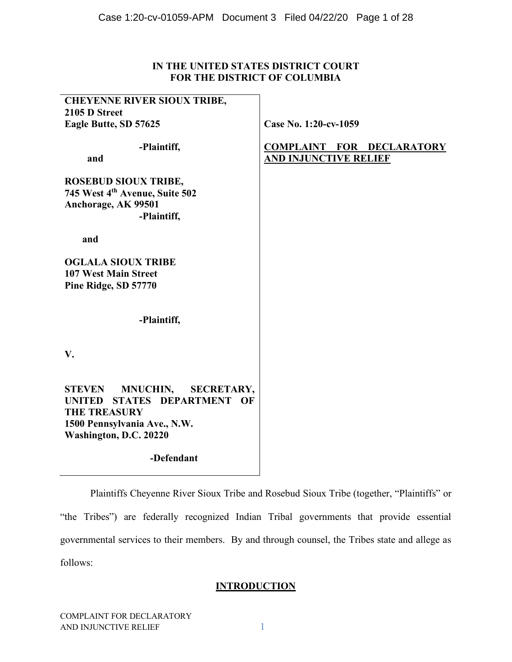## **IN THE UNITED STATES DISTRICT COURT FOR THE DISTRICT OF COLUMBIA**

| <b>CHEYENNE RIVER SIOUX TRIBE,</b><br>2105 D Street                                                                                                                             |                                                                  |
|---------------------------------------------------------------------------------------------------------------------------------------------------------------------------------|------------------------------------------------------------------|
| Eagle Butte, SD 57625                                                                                                                                                           | Case No. 1:20-cv-1059                                            |
| -Plaintiff,<br>and                                                                                                                                                              | <b>COMPLAINT FOR DECLARATORY</b><br><b>AND INJUNCTIVE RELIEF</b> |
| <b>ROSEBUD SIOUX TRIBE,</b><br>745 West 4th Avenue, Suite 502<br>Anchorage, AK 99501<br>-Plaintiff,                                                                             |                                                                  |
| and                                                                                                                                                                             |                                                                  |
| <b>OGLALA SIOUX TRIBE</b><br><b>107 West Main Street</b><br>Pine Ridge, SD 57770                                                                                                |                                                                  |
| -Plaintiff,                                                                                                                                                                     |                                                                  |
| V.                                                                                                                                                                              |                                                                  |
| <b>MNUCHIN,</b><br><b>STEVEN</b><br><b>SECRETARY,</b><br>STATES DEPARTMENT OF<br><b>UNITED</b><br><b>THE TREASURY</b><br>1500 Pennsylvania Ave., N.W.<br>Washington, D.C. 20220 |                                                                  |
| -Defendant                                                                                                                                                                      |                                                                  |

Plaintiffs Cheyenne River Sioux Tribe and Rosebud Sioux Tribe (together, "Plaintiffs" or "the Tribes") are federally recognized Indian Tribal governments that provide essential governmental services to their members. By and through counsel, the Tribes state and allege as follows:

## **INTRODUCTION**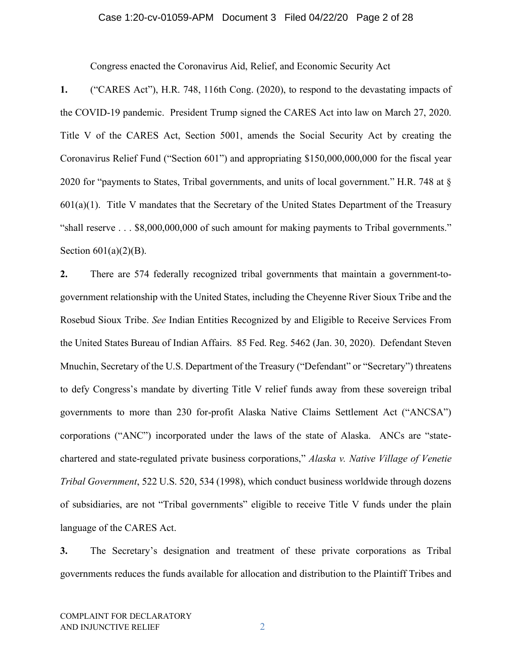#### Case 1:20-cv-01059-APM Document 3 Filed 04/22/20 Page 2 of 28

Congress enacted the Coronavirus Aid, Relief, and Economic Security Act

**1.** ("CARES Act"), H.R. 748, 116th Cong. (2020), to respond to the devastating impacts of the COVID-19 pandemic. President Trump signed the CARES Act into law on March 27, 2020. Title V of the CARES Act, Section 5001, amends the Social Security Act by creating the Coronavirus Relief Fund ("Section 601") and appropriating \$150,000,000,000 for the fiscal year 2020 for "payments to States, Tribal governments, and units of local government." H.R. 748 at §  $601(a)(1)$ . Title V mandates that the Secretary of the United States Department of the Treasury "shall reserve . . . \$8,000,000,000 of such amount for making payments to Tribal governments." Section  $601(a)(2)(B)$ .

**2.** There are 574 federally recognized tribal governments that maintain a government-togovernment relationship with the United States, including the Cheyenne River Sioux Tribe and the Rosebud Sioux Tribe. *See* Indian Entities Recognized by and Eligible to Receive Services From the United States Bureau of Indian Affairs. 85 Fed. Reg. 5462 (Jan. 30, 2020). Defendant Steven Mnuchin, Secretary of the U.S. Department of the Treasury ("Defendant" or "Secretary") threatens to defy Congress's mandate by diverting Title V relief funds away from these sovereign tribal governments to more than 230 for-profit Alaska Native Claims Settlement Act ("ANCSA") corporations ("ANC") incorporated under the laws of the state of Alaska. ANCs are "statechartered and state-regulated private business corporations," *Alaska v. Native Village of Venetie Tribal Government*, 522 U.S. 520, 534 (1998), which conduct business worldwide through dozens of subsidiaries, are not "Tribal governments" eligible to receive Title V funds under the plain language of the CARES Act.

**3.** The Secretary's designation and treatment of these private corporations as Tribal governments reduces the funds available for allocation and distribution to the Plaintiff Tribes and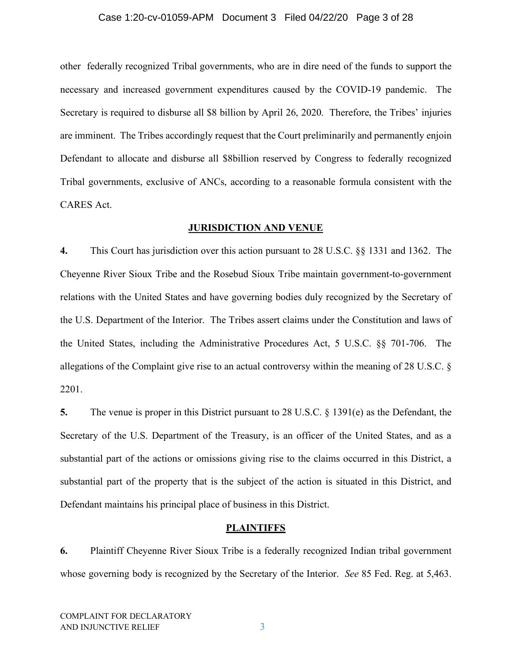#### Case 1:20-cv-01059-APM Document 3 Filed 04/22/20 Page 3 of 28

other federally recognized Tribal governments, who are in dire need of the funds to support the necessary and increased government expenditures caused by the COVID-19 pandemic. The Secretary is required to disburse all \$8 billion by April 26, 2020. Therefore, the Tribes' injuries are imminent. The Tribes accordingly request that the Court preliminarily and permanently enjoin Defendant to allocate and disburse all \$8billion reserved by Congress to federally recognized Tribal governments, exclusive of ANCs, according to a reasonable formula consistent with the CARES Act.

#### **JURISDICTION AND VENUE**

**4.** This Court has jurisdiction over this action pursuant to 28 U.S.C. §§ 1331 and 1362. The Cheyenne River Sioux Tribe and the Rosebud Sioux Tribe maintain government-to-government relations with the United States and have governing bodies duly recognized by the Secretary of the U.S. Department of the Interior. The Tribes assert claims under the Constitution and laws of the United States, including the Administrative Procedures Act, 5 U.S.C. §§ 701-706. The allegations of the Complaint give rise to an actual controversy within the meaning of 28 U.S.C. § 2201.

**5.** The venue is proper in this District pursuant to 28 U.S.C. § 1391(e) as the Defendant, the Secretary of the U.S. Department of the Treasury, is an officer of the United States, and as a substantial part of the actions or omissions giving rise to the claims occurred in this District, a substantial part of the property that is the subject of the action is situated in this District, and Defendant maintains his principal place of business in this District.

#### **PLAINTIFFS**

**6.** Plaintiff Cheyenne River Sioux Tribe is a federally recognized Indian tribal government whose governing body is recognized by the Secretary of the Interior. *See* 85 Fed. Reg. at 5,463.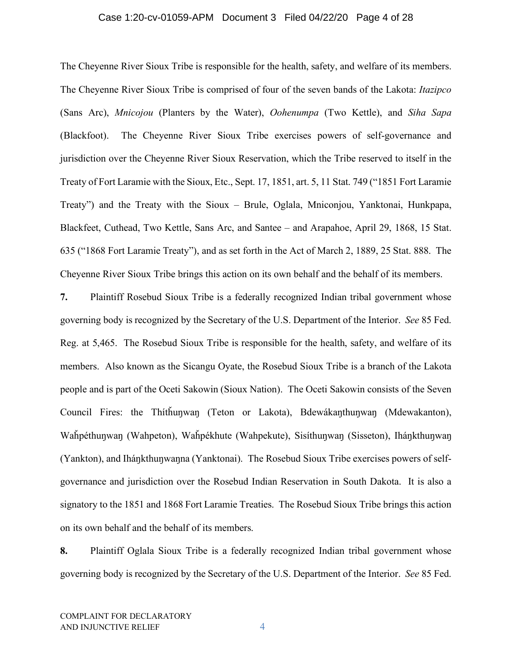#### Case 1:20-cv-01059-APM Document 3 Filed 04/22/20 Page 4 of 28

The Cheyenne River Sioux Tribe is responsible for the health, safety, and welfare of its members. The Cheyenne River Sioux Tribe is comprised of four of the seven bands of the Lakota: *Itazipco*  (Sans Arc), *Mnicojou* (Planters by the Water), *Oohenumpa* (Two Kettle), and *Siha Sapa*  (Blackfoot). The Cheyenne River Sioux Tribe exercises powers of self-governance and jurisdiction over the Cheyenne River Sioux Reservation, which the Tribe reserved to itself in the Treaty of Fort Laramie with the Sioux, Etc., Sept. 17, 1851, art. 5, 11 Stat. 749 ("1851 Fort Laramie Treaty") and the Treaty with the Sioux – Brule, Oglala, Mniconjou, Yanktonai, Hunkpapa, Blackfeet, Cuthead, Two Kettle, Sans Arc, and Santee – and Arapahoe, April 29, 1868, 15 Stat. 635 ("1868 Fort Laramie Treaty"), and as set forth in the Act of March 2, 1889, 25 Stat. 888. The Cheyenne River Sioux Tribe brings this action on its own behalf and the behalf of its members.

**7.** Plaintiff Rosebud Sioux Tribe is a federally recognized Indian tribal government whose governing body is recognized by the Secretary of the U.S. Department of the Interior. *See* 85 Fed. Reg. at 5,465. The Rosebud Sioux Tribe is responsible for the health, safety, and welfare of its members. Also known as the Sicangu Oyate, the Rosebud Sioux Tribe is a branch of the Lakota people and is part of the Oceti Sakowin (Sioux Nation). The Oceti Sakowin consists of the Seven Council Fires: the Thítȟuŋwaŋ (Teton or Lakota), Bdewákaŋthuŋwaŋ (Mdewakanton), Waȟpéthuŋwaŋ (Wahpeton), Waȟpékhute (Wahpekute), Sisíthuŋwaŋ (Sisseton), Iháŋkthuŋwaŋ (Yankton), and Iháŋkthuŋwaŋna (Yanktonai). The Rosebud Sioux Tribe exercises powers of selfgovernance and jurisdiction over the Rosebud Indian Reservation in South Dakota. It is also a signatory to the 1851 and 1868 Fort Laramie Treaties. The Rosebud Sioux Tribe brings this action on its own behalf and the behalf of its members.

**8.** Plaintiff Oglala Sioux Tribe is a federally recognized Indian tribal government whose governing body is recognized by the Secretary of the U.S. Department of the Interior. *See* 85 Fed.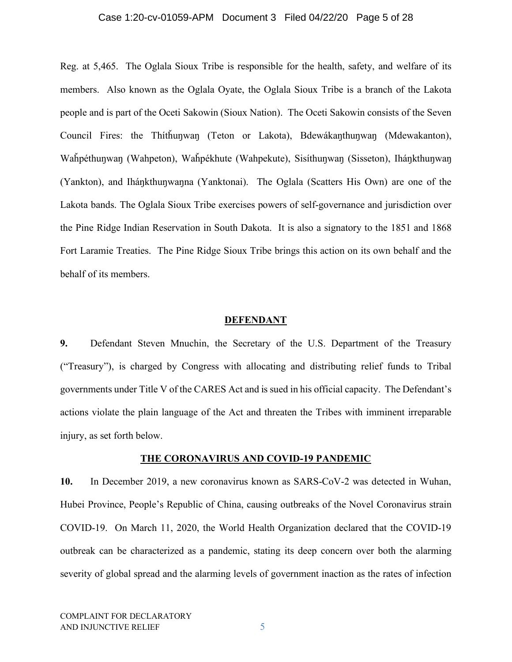#### Case 1:20-cv-01059-APM Document 3 Filed 04/22/20 Page 5 of 28

Reg. at 5,465. The Oglala Sioux Tribe is responsible for the health, safety, and welfare of its members. Also known as the Oglala Oyate, the Oglala Sioux Tribe is a branch of the Lakota people and is part of the Oceti Sakowin (Sioux Nation). The Oceti Sakowin consists of the Seven Council Fires: the Thítȟuŋwaŋ (Teton or Lakota), Bdewákaŋthuŋwaŋ (Mdewakanton), Waȟpéthuŋwaŋ (Wahpeton), Waȟpékhute (Wahpekute), Sisíthuŋwaŋ (Sisseton), Iháŋkthuŋwaŋ (Yankton), and Iháŋkthuŋwaŋna (Yanktonai). The Oglala (Scatters His Own) are one of the Lakota bands. The Oglala Sioux Tribe exercises powers of self-governance and jurisdiction over the Pine Ridge Indian Reservation in South Dakota. It is also a signatory to the 1851 and 1868 Fort Laramie Treaties. The Pine Ridge Sioux Tribe brings this action on its own behalf and the behalf of its members.

#### **DEFENDANT**

**9.** Defendant Steven Mnuchin, the Secretary of the U.S. Department of the Treasury ("Treasury"), is charged by Congress with allocating and distributing relief funds to Tribal governments under Title V of the CARES Act and is sued in his official capacity. The Defendant's actions violate the plain language of the Act and threaten the Tribes with imminent irreparable injury, as set forth below.

#### **THE CORONAVIRUS AND COVID-19 PANDEMIC**

**10.** In December 2019, a new coronavirus known as SARS-CoV-2 was detected in Wuhan, Hubei Province, People's Republic of China, causing outbreaks of the Novel Coronavirus strain COVID-19. On March 11, 2020, the World Health Organization declared that the COVID-19 outbreak can be characterized as a pandemic, stating its deep concern over both the alarming severity of global spread and the alarming levels of government inaction as the rates of infection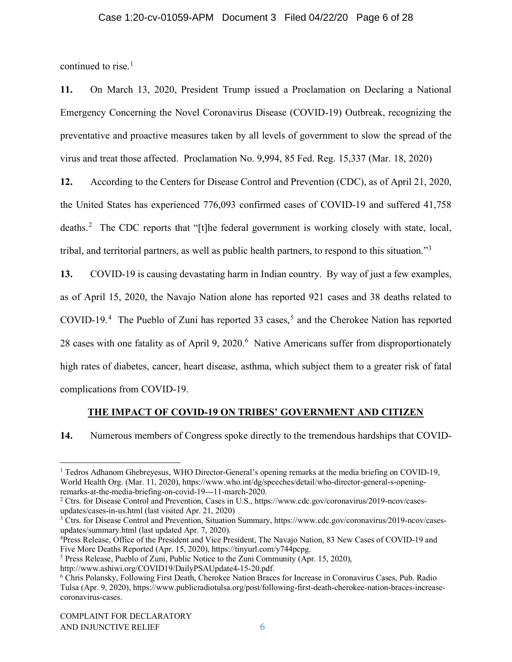### Case 1:20-cv-01059-APM Document 3 Filed 04/22/20 Page 6 of 28

continued to rise. $<sup>1</sup>$  $<sup>1</sup>$  $<sup>1</sup>$ </sup>

**11.** On March 13, 2020, President Trump issued a Proclamation on Declaring a National Emergency Concerning the Novel Coronavirus Disease (COVID-19) Outbreak, recognizing the preventative and proactive measures taken by all levels of government to slow the spread of the virus and treat those affected. Proclamation No. 9,994, 85 Fed. Reg. 15,337 (Mar. 18, 2020)

**12.** According to the Centers for Disease Control and Prevention (CDC), as of April 21, 2020, the United States has experienced 776,093 confirmed cases of COVID-19 and suffered 41,758 deaths.<sup>[2](#page-5-1)</sup> The CDC reports that "[t]he federal government is working closely with state, local, tribal, and territorial partners, as well as public health partners, to respond to this situation."[3](#page-5-2)

**13.** COVID-19 is causing devastating harm in Indian country. By way of just a few examples, as of April 15, 2020, the Navajo Nation alone has reported 921 cases and 38 deaths related to COVID-19.[4](#page-5-3) The Pueblo of Zuni has reported 33 cases, [5](#page-5-4) and the Cherokee Nation has reported 28 cases with one fatality as of April 9, 2020.<sup>[6](#page-5-5)</sup> Native Americans suffer from disproportionately high rates of diabetes, cancer, heart disease, asthma, which subject them to a greater risk of fatal complications from COVID-19.

#### **THE IMPACT OF COVID-19 ON TRIBES' GOVERNMENT AND CITIZEN**

**14.** Numerous members of Congress spoke directly to the tremendous hardships that COVID-

<span id="page-5-0"></span><sup>&</sup>lt;sup>1</sup> Tedros Adhanom Ghebreyesus, WHO Director-General's opening remarks at the media briefing on COVID-19, World Health Org. (Mar. 11, 2020), https://www.who.int/dg/speeches/detail/who-director-general-s-openingremarks-at-the-media-briefing-on-covid-19---11-march-2020.

<span id="page-5-1"></span><sup>2</sup> Ctrs. for Disease Control and Prevention, Cases in U.S., https://www.cdc.gov/coronavirus/2019-ncov/casesupdates/cases-in-us.html (last visited Apr. 21, 2020)

<span id="page-5-2"></span><sup>&</sup>lt;sup>3</sup> Ctrs. for Disease Control and Prevention, Situation Summary, https://www.cdc.gov/coronavirus/2019-ncov/casesupdates/summary.html (last updated Apr. 7, 2020).

<span id="page-5-3"></span><sup>&</sup>lt;sup>4</sup>Press Release, Office of the President and Vice President, The Navajo Nation, 83 New Cases of COVID-19 and Five More Deaths Reported (Apr. 15, 2020), https://tinyurl.com/y744pcpg.

<span id="page-5-4"></span><sup>5</sup> Press Release, Pueblo of Zuni, Public Notice to the Zuni Community (Apr. 15, 2020),

http://www.ashiwi.org/COVID19/DailyPSAUpdate4-15-20.pdf.

<span id="page-5-5"></span><sup>6</sup> Chris Polansky, Following First Death, Cherokee Nation Braces for Increase in Coronavirus Cases, Pub. Radio Tulsa (Apr. 9, 2020), https://www.publicradiotulsa.org/post/following-first-death-cherokee-nation-braces-increasecoronavirus-cases.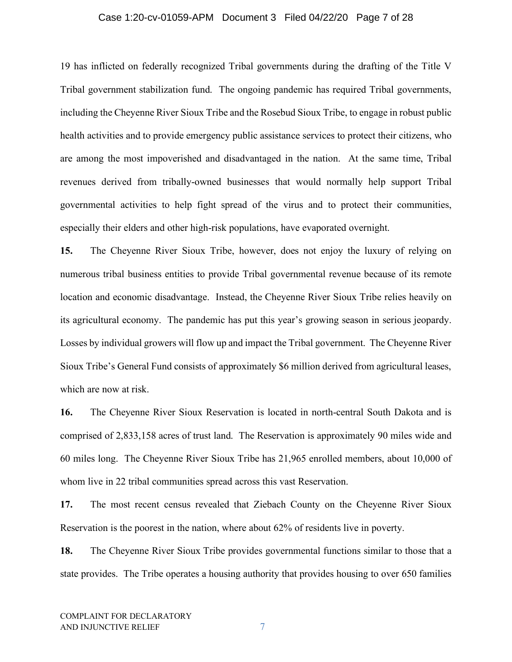#### Case 1:20-cv-01059-APM Document 3 Filed 04/22/20 Page 7 of 28

19 has inflicted on federally recognized Tribal governments during the drafting of the Title V Tribal government stabilization fund. The ongoing pandemic has required Tribal governments, including the Cheyenne River Sioux Tribe and the Rosebud Sioux Tribe, to engage in robust public health activities and to provide emergency public assistance services to protect their citizens, who are among the most impoverished and disadvantaged in the nation. At the same time, Tribal revenues derived from tribally-owned businesses that would normally help support Tribal governmental activities to help fight spread of the virus and to protect their communities, especially their elders and other high-risk populations, have evaporated overnight.

**15.** The Cheyenne River Sioux Tribe, however, does not enjoy the luxury of relying on numerous tribal business entities to provide Tribal governmental revenue because of its remote location and economic disadvantage. Instead, the Cheyenne River Sioux Tribe relies heavily on its agricultural economy. The pandemic has put this year's growing season in serious jeopardy. Losses by individual growers will flow up and impact the Tribal government. The Cheyenne River Sioux Tribe's General Fund consists of approximately \$6 million derived from agricultural leases, which are now at risk.

**16.** The Cheyenne River Sioux Reservation is located in north-central South Dakota and is comprised of 2,833,158 acres of trust land. The Reservation is approximately 90 miles wide and 60 miles long. The Cheyenne River Sioux Tribe has 21,965 enrolled members, about 10,000 of whom live in 22 tribal communities spread across this vast Reservation.

**17.** The most recent census revealed that Ziebach County on the Cheyenne River Sioux Reservation is the poorest in the nation, where about 62% of residents live in poverty.

**18.** The Cheyenne River Sioux Tribe provides governmental functions similar to those that a state provides. The Tribe operates a housing authority that provides housing to over 650 families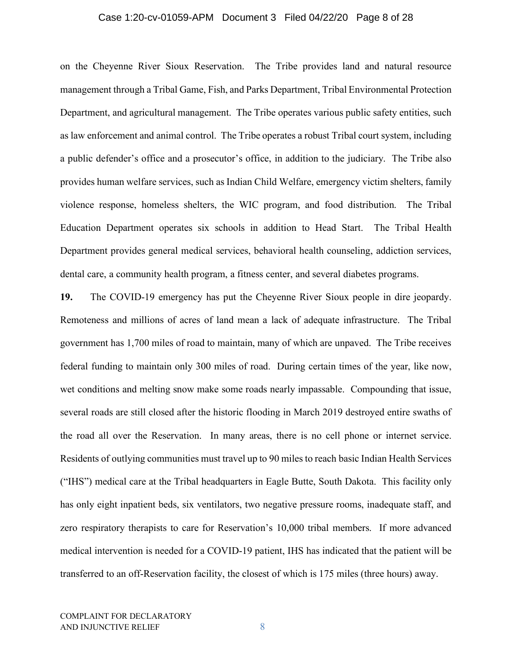#### Case 1:20-cv-01059-APM Document 3 Filed 04/22/20 Page 8 of 28

on the Cheyenne River Sioux Reservation. The Tribe provides land and natural resource management through a Tribal Game, Fish, and Parks Department, Tribal Environmental Protection Department, and agricultural management. The Tribe operates various public safety entities, such as law enforcement and animal control. The Tribe operates a robust Tribal court system, including a public defender's office and a prosecutor's office, in addition to the judiciary. The Tribe also provides human welfare services, such as Indian Child Welfare, emergency victim shelters, family violence response, homeless shelters, the WIC program, and food distribution. The Tribal Education Department operates six schools in addition to Head Start. The Tribal Health Department provides general medical services, behavioral health counseling, addiction services, dental care, a community health program, a fitness center, and several diabetes programs.

**19.** The COVID-19 emergency has put the Cheyenne River Sioux people in dire jeopardy. Remoteness and millions of acres of land mean a lack of adequate infrastructure. The Tribal government has 1,700 miles of road to maintain, many of which are unpaved. The Tribe receives federal funding to maintain only 300 miles of road. During certain times of the year, like now, wet conditions and melting snow make some roads nearly impassable. Compounding that issue, several roads are still closed after the historic flooding in March 2019 destroyed entire swaths of the road all over the Reservation. In many areas, there is no cell phone or internet service. Residents of outlying communities must travel up to 90 miles to reach basic Indian Health Services ("IHS") medical care at the Tribal headquarters in Eagle Butte, South Dakota. This facility only has only eight inpatient beds, six ventilators, two negative pressure rooms, inadequate staff, and zero respiratory therapists to care for Reservation's 10,000 tribal members. If more advanced medical intervention is needed for a COVID-19 patient, IHS has indicated that the patient will be transferred to an off-Reservation facility, the closest of which is 175 miles (three hours) away.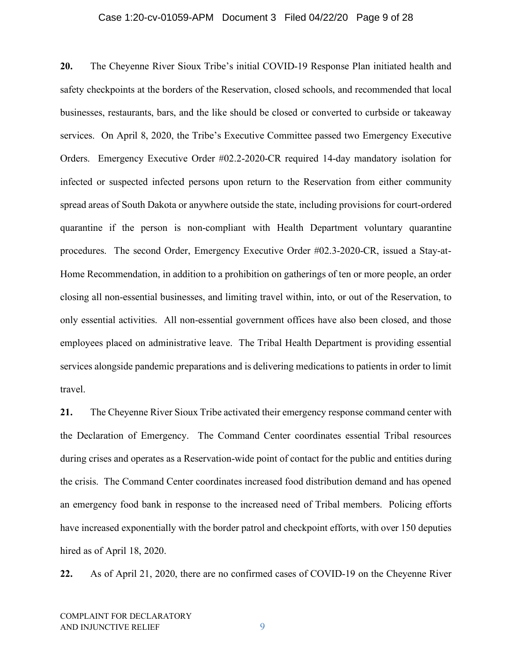#### Case 1:20-cv-01059-APM Document 3 Filed 04/22/20 Page 9 of 28

**20.** The Cheyenne River Sioux Tribe's initial COVID-19 Response Plan initiated health and safety checkpoints at the borders of the Reservation, closed schools, and recommended that local businesses, restaurants, bars, and the like should be closed or converted to curbside or takeaway services. On April 8, 2020, the Tribe's Executive Committee passed two Emergency Executive Orders. Emergency Executive Order #02.2-2020-CR required 14-day mandatory isolation for infected or suspected infected persons upon return to the Reservation from either community spread areas of South Dakota or anywhere outside the state, including provisions for court-ordered quarantine if the person is non-compliant with Health Department voluntary quarantine procedures. The second Order, Emergency Executive Order #02.3-2020-CR, issued a Stay-at-Home Recommendation, in addition to a prohibition on gatherings of ten or more people, an order closing all non-essential businesses, and limiting travel within, into, or out of the Reservation, to only essential activities. All non-essential government offices have also been closed, and those employees placed on administrative leave. The Tribal Health Department is providing essential services alongside pandemic preparations and is delivering medications to patients in order to limit travel.

**21.** The Cheyenne River Sioux Tribe activated their emergency response command center with the Declaration of Emergency. The Command Center coordinates essential Tribal resources during crises and operates as a Reservation-wide point of contact for the public and entities during the crisis. The Command Center coordinates increased food distribution demand and has opened an emergency food bank in response to the increased need of Tribal members. Policing efforts have increased exponentially with the border patrol and checkpoint efforts, with over 150 deputies hired as of April 18, 2020.

**22.** As of April 21, 2020, there are no confirmed cases of COVID-19 on the Cheyenne River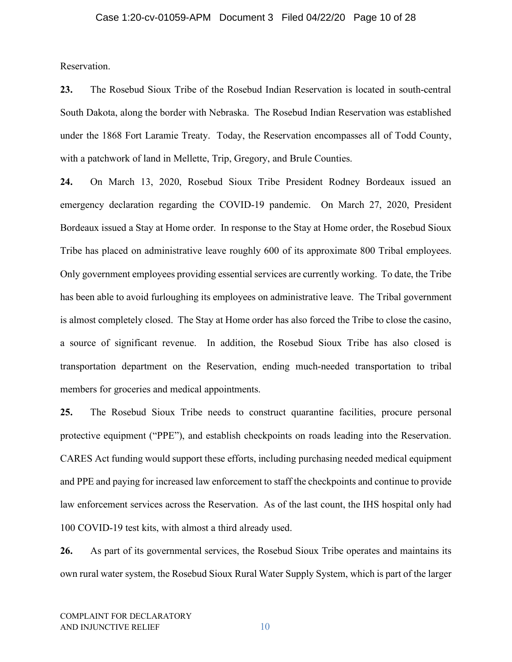Reservation.

**23.** The Rosebud Sioux Tribe of the Rosebud Indian Reservation is located in south-central South Dakota, along the border with Nebraska. The Rosebud Indian Reservation was established under the 1868 Fort Laramie Treaty. Today, the Reservation encompasses all of Todd County, with a patchwork of land in Mellette, Trip, Gregory, and Brule Counties.

**24.** On March 13, 2020, Rosebud Sioux Tribe President Rodney Bordeaux issued an emergency declaration regarding the COVID-19 pandemic. On March 27, 2020, President Bordeaux issued a Stay at Home order. In response to the Stay at Home order, the Rosebud Sioux Tribe has placed on administrative leave roughly 600 of its approximate 800 Tribal employees. Only government employees providing essential services are currently working. To date, the Tribe has been able to avoid furloughing its employees on administrative leave. The Tribal government is almost completely closed. The Stay at Home order has also forced the Tribe to close the casino, a source of significant revenue. In addition, the Rosebud Sioux Tribe has also closed is transportation department on the Reservation, ending much-needed transportation to tribal members for groceries and medical appointments.

**25.** The Rosebud Sioux Tribe needs to construct quarantine facilities, procure personal protective equipment ("PPE"), and establish checkpoints on roads leading into the Reservation. CARES Act funding would support these efforts, including purchasing needed medical equipment and PPE and paying for increased law enforcement to staff the checkpoints and continue to provide law enforcement services across the Reservation. As of the last count, the IHS hospital only had 100 COVID-19 test kits, with almost a third already used.

**26.** As part of its governmental services, the Rosebud Sioux Tribe operates and maintains its own rural water system, the Rosebud Sioux Rural Water Supply System, which is part of the larger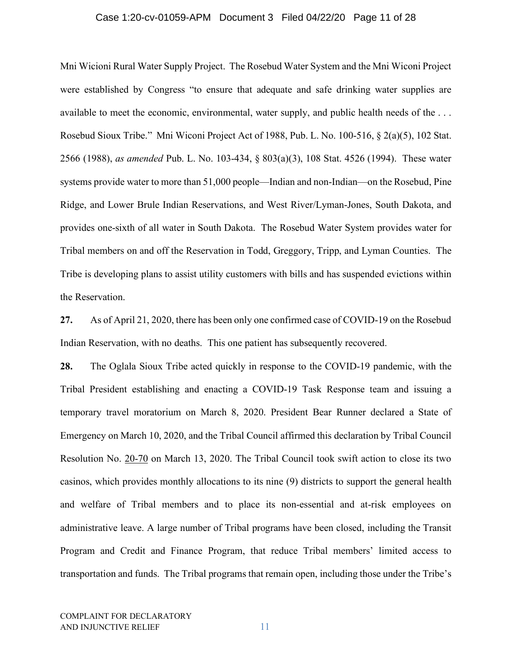#### Case 1:20-cv-01059-APM Document 3 Filed 04/22/20 Page 11 of 28

Mni Wicioni Rural Water Supply Project. The Rosebud Water System and the Mni Wiconi Project were established by Congress "to ensure that adequate and safe drinking water supplies are available to meet the economic, environmental, water supply, and public health needs of the . . . Rosebud Sioux Tribe." Mni Wiconi Project Act of 1988, Pub. L. No. 100-516, § 2(a)(5), 102 Stat. 2566 (1988), *as amended* Pub. L. No. 103-434, § 803(a)(3), 108 Stat. 4526 (1994). These water systems provide water to more than 51,000 people—Indian and non-Indian—on the Rosebud, Pine Ridge, and Lower Brule Indian Reservations, and West River/Lyman-Jones, South Dakota, and provides one-sixth of all water in South Dakota. The Rosebud Water System provides water for Tribal members on and off the Reservation in Todd, Greggory, Tripp, and Lyman Counties. The Tribe is developing plans to assist utility customers with bills and has suspended evictions within the Reservation.

**27.** As of April 21, 2020, there has been only one confirmed case of COVID-19 on the Rosebud Indian Reservation, with no deaths. This one patient has subsequently recovered.

**28.** The Oglala Sioux Tribe acted quickly in response to the COVID-19 pandemic, with the Tribal President establishing and enacting a COVID-19 Task Response team and issuing a temporary travel moratorium on March 8, 2020. President Bear Runner declared a State of Emergency on March 10, 2020, and the Tribal Council affirmed this declaration by Tribal Council Resolution No. 20-70 on March 13, 2020. The Tribal Council took swift action to close its two casinos, which provides monthly allocations to its nine (9) districts to support the general health and welfare of Tribal members and to place its non-essential and at-risk employees on administrative leave. A large number of Tribal programs have been closed, including the Transit Program and Credit and Finance Program, that reduce Tribal members' limited access to transportation and funds. The Tribal programs that remain open, including those under the Tribe's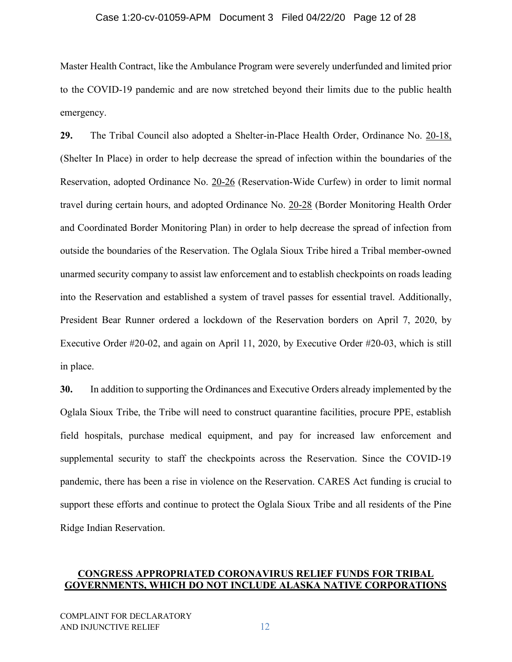#### Case 1:20-cv-01059-APM Document 3 Filed 04/22/20 Page 12 of 28

Master Health Contract, like the Ambulance Program were severely underfunded and limited prior to the COVID-19 pandemic and are now stretched beyond their limits due to the public health emergency.

**29.** The Tribal Council also adopted a Shelter-in-Place Health Order, Ordinance No. 20-18, (Shelter In Place) in order to help decrease the spread of infection within the boundaries of the Reservation, adopted Ordinance No. 20-26 (Reservation-Wide Curfew) in order to limit normal travel during certain hours, and adopted Ordinance No. 20-28 (Border Monitoring Health Order and Coordinated Border Monitoring Plan) in order to help decrease the spread of infection from outside the boundaries of the Reservation. The Oglala Sioux Tribe hired a Tribal member-owned unarmed security company to assist law enforcement and to establish checkpoints on roads leading into the Reservation and established a system of travel passes for essential travel. Additionally, President Bear Runner ordered a lockdown of the Reservation borders on April 7, 2020, by Executive Order #20-02, and again on April 11, 2020, by Executive Order #20-03, which is still in place.

**30.** In addition to supporting the Ordinances and Executive Orders already implemented by the Oglala Sioux Tribe, the Tribe will need to construct quarantine facilities, procure PPE, establish field hospitals, purchase medical equipment, and pay for increased law enforcement and supplemental security to staff the checkpoints across the Reservation. Since the COVID-19 pandemic, there has been a rise in violence on the Reservation. CARES Act funding is crucial to support these efforts and continue to protect the Oglala Sioux Tribe and all residents of the Pine Ridge Indian Reservation.

## **CONGRESS APPROPRIATED CORONAVIRUS RELIEF FUNDS FOR TRIBAL GOVERNMENTS, WHICH DO NOT INCLUDE ALASKA NATIVE CORPORATIONS**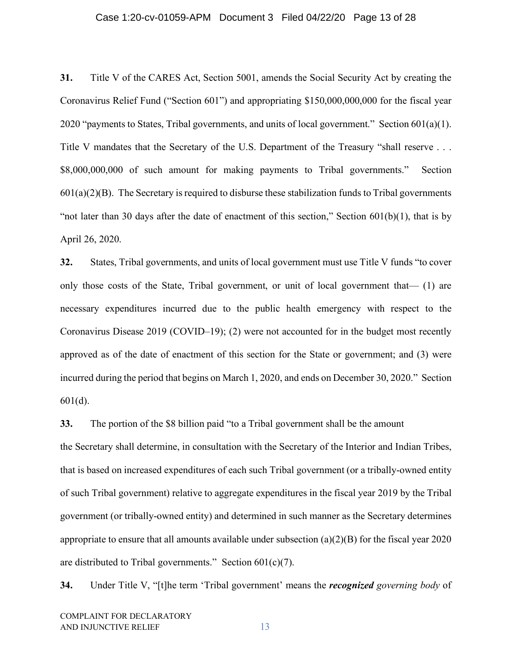#### Case 1:20-cv-01059-APM Document 3 Filed 04/22/20 Page 13 of 28

**31.** Title V of the CARES Act, Section 5001, amends the Social Security Act by creating the Coronavirus Relief Fund ("Section 601") and appropriating \$150,000,000,000 for the fiscal year 2020 "payments to States, Tribal governments, and units of local government." Section  $601(a)(1)$ . Title V mandates that the Secretary of the U.S. Department of the Treasury "shall reserve . . . \$8,000,000,000 of such amount for making payments to Tribal governments." Section  $601(a)(2)(B)$ . The Secretary is required to disburse these stabilization funds to Tribal governments "not later than 30 days after the date of enactment of this section," Section  $601(b)(1)$ , that is by April 26, 2020.

**32.** States, Tribal governments, and units of local government must use Title V funds "to cover only those costs of the State, Tribal government, or unit of local government that— (1) are necessary expenditures incurred due to the public health emergency with respect to the Coronavirus Disease 2019 (COVID–19); (2) were not accounted for in the budget most recently approved as of the date of enactment of this section for the State or government; and (3) were incurred during the period that begins on March 1, 2020, and ends on December 30, 2020." Section 601(d).

**33.** The portion of the \$8 billion paid "to a Tribal government shall be the amount the Secretary shall determine, in consultation with the Secretary of the Interior and Indian Tribes, that is based on increased expenditures of each such Tribal government (or a tribally-owned entity of such Tribal government) relative to aggregate expenditures in the fiscal year 2019 by the Tribal government (or tribally-owned entity) and determined in such manner as the Secretary determines appropriate to ensure that all amounts available under subsection (a)(2)(B) for the fiscal year 2020 are distributed to Tribal governments." Section  $601(c)(7)$ .

**34.** Under Title V, "[t]he term 'Tribal government' means the *recognized governing body* of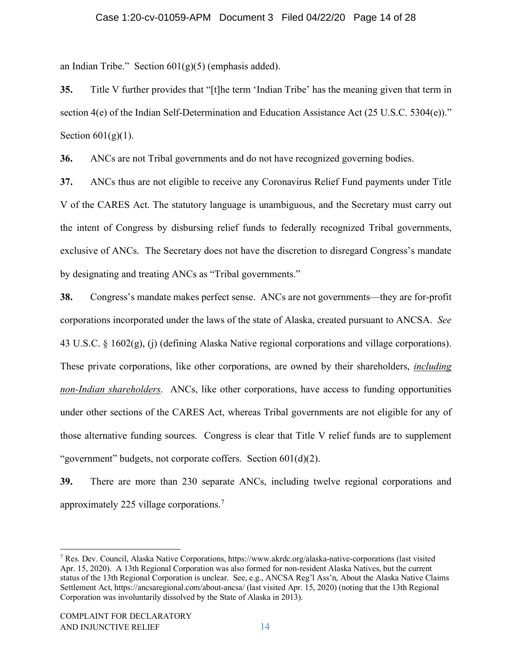an Indian Tribe." Section  $601(g)(5)$  (emphasis added).

**35.** Title V further provides that "[t]he term 'Indian Tribe' has the meaning given that term in section 4(e) of the Indian Self-Determination and Education Assistance Act (25 U.S.C. 5304(e))." Section  $601(g)(1)$ .

**36.** ANCs are not Tribal governments and do not have recognized governing bodies.

**37.** ANCs thus are not eligible to receive any Coronavirus Relief Fund payments under Title V of the CARES Act. The statutory language is unambiguous, and the Secretary must carry out the intent of Congress by disbursing relief funds to federally recognized Tribal governments, exclusive of ANCs. The Secretary does not have the discretion to disregard Congress's mandate by designating and treating ANCs as "Tribal governments."

**38.** Congress's mandate makes perfect sense. ANCs are not governments—they are for-profit corporations incorporated under the laws of the state of Alaska, created pursuant to ANCSA. *See* 43 U.S.C. § 1602(g), (j) (defining Alaska Native regional corporations and village corporations). These private corporations, like other corporations, are owned by their shareholders, *including non-Indian shareholders*. ANCs, like other corporations, have access to funding opportunities under other sections of the CARES Act, whereas Tribal governments are not eligible for any of those alternative funding sources. Congress is clear that Title V relief funds are to supplement "government" budgets, not corporate coffers. Section 601(d)(2).

**39.** There are more than 230 separate ANCs, including twelve regional corporations and approximately 225 village corporations.<sup>[7](#page-13-0)</sup>

<span id="page-13-0"></span><sup>7</sup> Res. Dev. Council, Alaska Native Corporations, https://www.akrdc.org/alaska-native-corporations (last visited Apr. 15, 2020). A 13th Regional Corporation was also formed for non-resident Alaska Natives, but the current status of the 13th Regional Corporation is unclear. See, e.g., ANCSA Reg'l Ass'n, About the Alaska Native Claims Settlement Act, https://ancsaregional.com/about-ancsa/ (last visited Apr. 15, 2020) (noting that the 13th Regional Corporation was involuntarily dissolved by the State of Alaska in 2013).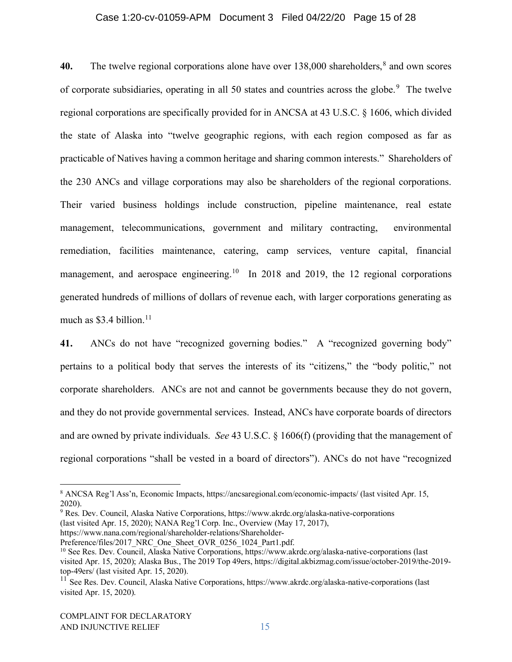#### Case 1:20-cv-01059-APM Document 3 Filed 04/22/20 Page 15 of 28

**40.** The twelve regional corporations alone have over 13[8](#page-14-0),000 shareholders,<sup>8</sup> and own scores of corporate subsidiaries, operating in all 50 states and countries across the globe.<sup>[9](#page-14-1)</sup> The twelve regional corporations are specifically provided for in ANCSA at 43 U.S.C. § 1606, which divided the state of Alaska into "twelve geographic regions, with each region composed as far as practicable of Natives having a common heritage and sharing common interests." Shareholders of the 230 ANCs and village corporations may also be shareholders of the regional corporations. Their varied business holdings include construction, pipeline maintenance, real estate management, telecommunications, government and military contracting, environmental remediation, facilities maintenance, catering, camp services, venture capital, financial management, and aerospace engineering.<sup>10</sup> In 2018 and 2019, the 12 regional corporations generated hundreds of millions of dollars of revenue each, with larger corporations generating as much as  $$3.4$  billion.<sup>[11](#page-14-3)</sup>

**41.** ANCs do not have "recognized governing bodies." A "recognized governing body" pertains to a political body that serves the interests of its "citizens," the "body politic," not corporate shareholders. ANCs are not and cannot be governments because they do not govern, and they do not provide governmental services. Instead, ANCs have corporate boards of directors and are owned by private individuals. *See* 43 U.S.C. § 1606(f) (providing that the management of regional corporations "shall be vested in a board of directors"). ANCs do not have "recognized

<span id="page-14-0"></span><sup>8</sup> ANCSA Reg'l Ass'n, Economic Impacts, https://ancsaregional.com/economic-impacts/ (last visited Apr. 15, 2020).

<span id="page-14-1"></span><sup>9</sup> Res. Dev. Council, Alaska Native Corporations, https://www.akrdc.org/alaska-native-corporations (last visited Apr. 15, 2020); NANA Reg'l Corp. Inc., Overview (May 17, 2017),

https://www.nana.com/regional/shareholder-relations/Shareholder-

<span id="page-14-2"></span>Preference/files/2017\_NRC\_One\_Sheet\_OVR\_0256\_1024\_Part1.pdf. <sup>10</sup> See Res. Dev. Council, Alaska Native Corporations, https://www.akrdc.org/alaska-native-corporations (last visited Apr. 15, 2020); Alaska Bus., The 2019 Top 49ers, https://digital.akbizmag.com/issue/october-2019/the-2019 top-49ers/ (last visited Apr. 15, 2020).

<span id="page-14-3"></span><sup>&</sup>lt;sup>11</sup> See Res. Dev. Council, Alaska Native Corporations, https://www.akrdc.org/alaska-native-corporations (last visited Apr. 15, 2020).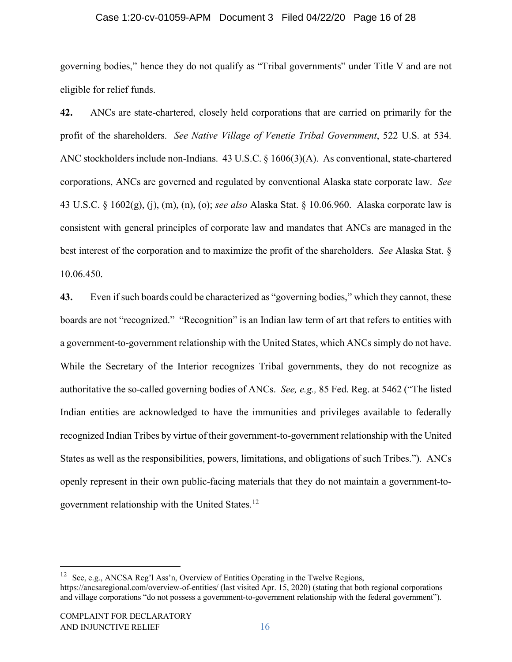#### Case 1:20-cv-01059-APM Document 3 Filed 04/22/20 Page 16 of 28

governing bodies," hence they do not qualify as "Tribal governments" under Title V and are not eligible for relief funds.

**42.** ANCs are state-chartered, closely held corporations that are carried on primarily for the profit of the shareholders. *See Native Village of Venetie Tribal Government*, 522 U.S. at 534. ANC stockholders include non-Indians. 43 U.S.C. § 1606(3)(A). As conventional, state-chartered corporations, ANCs are governed and regulated by conventional Alaska state corporate law. *See*  43 U.S.C. § 1602(g), (j), (m), (n), (o); *see also* Alaska Stat. § 10.06.960. Alaska corporate law is consistent with general principles of corporate law and mandates that ANCs are managed in the best interest of the corporation and to maximize the profit of the shareholders. *See* Alaska Stat. § 10.06.450.

**43.** Even if such boards could be characterized as "governing bodies," which they cannot, these boards are not "recognized." "Recognition" is an Indian law term of art that refers to entities with a government-to-government relationship with the United States, which ANCs simply do not have. While the Secretary of the Interior recognizes Tribal governments, they do not recognize as authoritative the so-called governing bodies of ANCs. *See, e.g.,* 85 Fed. Reg. at 5462 ("The listed Indian entities are acknowledged to have the immunities and privileges available to federally recognized Indian Tribes by virtue of their government-to-government relationship with the United States as well as the responsibilities, powers, limitations, and obligations of such Tribes."). ANCs openly represent in their own public-facing materials that they do not maintain a government-togovernment relationship with the United States.[12](#page-15-0)

<span id="page-15-0"></span><sup>&</sup>lt;sup>12</sup> See, e.g., ANCSA Reg'l Ass'n, Overview of Entities Operating in the Twelve Regions, https://ancsaregional.com/overview-of-entities/ (last visited Apr. 15, 2020) (stating that both regional corporations and village corporations "do not possess a government-to-government relationship with the federal government").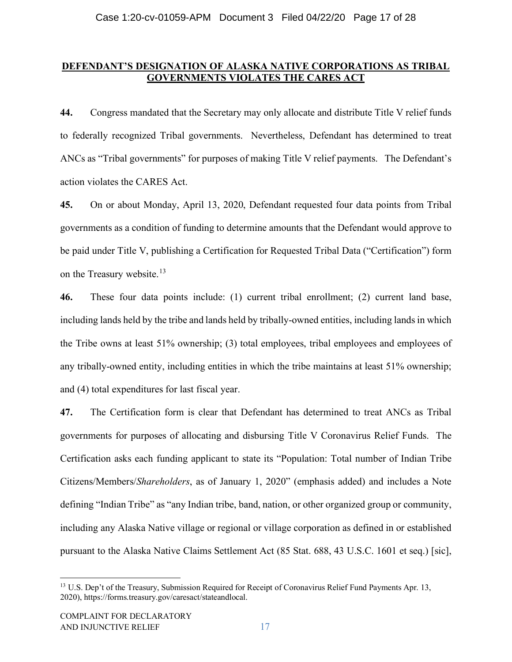## **DEFENDANT'S DESIGNATION OF ALASKA NATIVE CORPORATIONS AS TRIBAL GOVERNMENTS VIOLATES THE CARES ACT**

**44.** Congress mandated that the Secretary may only allocate and distribute Title V relief funds to federally recognized Tribal governments. Nevertheless, Defendant has determined to treat ANCs as "Tribal governments" for purposes of making Title V relief payments. The Defendant's action violates the CARES Act.

**45.** On or about Monday, April 13, 2020, Defendant requested four data points from Tribal governments as a condition of funding to determine amounts that the Defendant would approve to be paid under Title V, publishing a Certification for Requested Tribal Data ("Certification") form on the Treasury website.<sup>[13](#page-16-0)</sup>

**46.** These four data points include: (1) current tribal enrollment; (2) current land base, including lands held by the tribe and lands held by tribally-owned entities, including lands in which the Tribe owns at least 51% ownership; (3) total employees, tribal employees and employees of any tribally-owned entity, including entities in which the tribe maintains at least 51% ownership; and (4) total expenditures for last fiscal year.

**47.** The Certification form is clear that Defendant has determined to treat ANCs as Tribal governments for purposes of allocating and disbursing Title V Coronavirus Relief Funds. The Certification asks each funding applicant to state its "Population: Total number of Indian Tribe Citizens/Members/*Shareholders*, as of January 1, 2020" (emphasis added) and includes a Note defining "Indian Tribe" as "any Indian tribe, band, nation, or other organized group or community, including any Alaska Native village or regional or village corporation as defined in or established pursuant to the Alaska Native Claims Settlement Act (85 Stat. 688, 43 U.S.C. 1601 et seq.) [sic],

<span id="page-16-0"></span><sup>&</sup>lt;sup>13</sup> U.S. Dep't of the Treasury, Submission Required for Receipt of Coronavirus Relief Fund Payments Apr. 13, 2020), https://forms.treasury.gov/caresact/stateandlocal.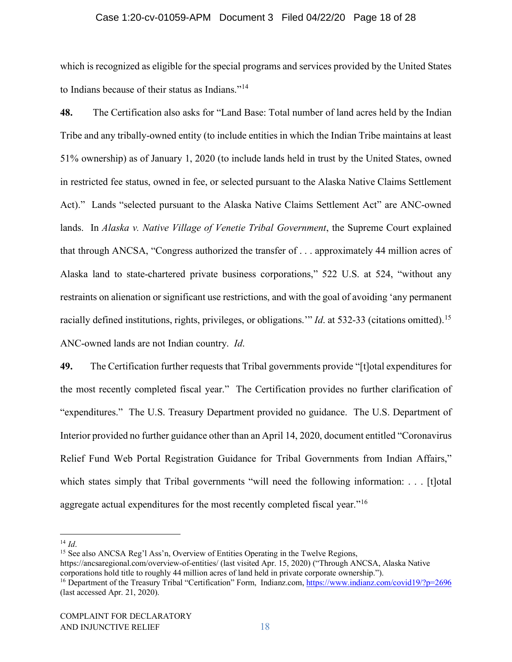#### Case 1:20-cv-01059-APM Document 3 Filed 04/22/20 Page 18 of 28

which is recognized as eligible for the special programs and services provided by the United States to Indians because of their status as Indians."[14](#page-17-0)

**48.** The Certification also asks for "Land Base: Total number of land acres held by the Indian Tribe and any tribally-owned entity (to include entities in which the Indian Tribe maintains at least 51% ownership) as of January 1, 2020 (to include lands held in trust by the United States, owned in restricted fee status, owned in fee, or selected pursuant to the Alaska Native Claims Settlement Act)." Lands "selected pursuant to the Alaska Native Claims Settlement Act" are ANC-owned lands. In *Alaska v. Native Village of Venetie Tribal Government*, the Supreme Court explained that through ANCSA, "Congress authorized the transfer of . . . approximately 44 million acres of Alaska land to state-chartered private business corporations," 522 U.S. at 524, "without any restraints on alienation or significant use restrictions, and with the goal of avoiding 'any permanent racially defined institutions, rights, privileges, or obligations.'" *Id*. at 532-33 (citations omitted).[15](#page-17-1) ANC-owned lands are not Indian country. *Id*.

**49.** The Certification further requests that Tribal governments provide "[t]otal expenditures for the most recently completed fiscal year." The Certification provides no further clarification of "expenditures." The U.S. Treasury Department provided no guidance. The U.S. Department of Interior provided no further guidance other than an April 14, 2020, document entitled "Coronavirus Relief Fund Web Portal Registration Guidance for Tribal Governments from Indian Affairs," which states simply that Tribal governments "will need the following information: . . . [t]otal aggregate actual expenditures for the most recently completed fiscal year."<sup>[16](#page-17-2)</sup>

<span id="page-17-0"></span> $^{14}$  *Id.* 

<span id="page-17-1"></span><sup>15</sup> See also ANCSA Reg'l Ass'n, Overview of Entities Operating in the Twelve Regions,

https://ancsaregional.com/overview-of-entities/ (last visited Apr. 15, 2020) ("Through ANCSA, Alaska Native corporations hold title to roughly 44 million acres of land held in private corporate ownership.").

<span id="page-17-2"></span><sup>16</sup> Department of the Treasury Tribal "Certification" Form, Indianz.com,<https://www.indianz.com/covid19/?p=2696> (last accessed Apr. 21, 2020).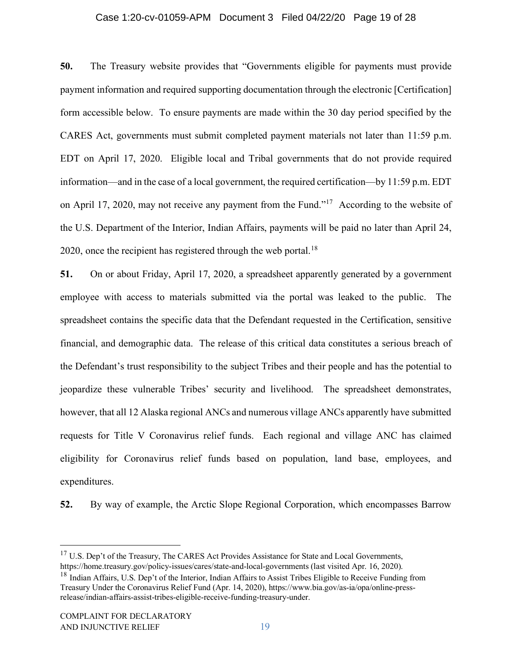#### Case 1:20-cv-01059-APM Document 3 Filed 04/22/20 Page 19 of 28

**50.** The Treasury website provides that "Governments eligible for payments must provide payment information and required supporting documentation through the electronic [Certification] form accessible below. To ensure payments are made within the 30 day period specified by the CARES Act, governments must submit completed payment materials not later than 11:59 p.m. EDT on April 17, 2020. Eligible local and Tribal governments that do not provide required information—and in the case of a local government, the required certification—by 11:59 p.m. EDT on April 17, 2020, may not receive any payment from the Fund."[17](#page-18-0) According to the website of the U.S. Department of the Interior, Indian Affairs, payments will be paid no later than April 24, 2020, once the recipient has registered through the web portal.<sup>[18](#page-18-1)</sup>

**51.** On or about Friday, April 17, 2020, a spreadsheet apparently generated by a government employee with access to materials submitted via the portal was leaked to the public. The spreadsheet contains the specific data that the Defendant requested in the Certification, sensitive financial, and demographic data. The release of this critical data constitutes a serious breach of the Defendant's trust responsibility to the subject Tribes and their people and has the potential to jeopardize these vulnerable Tribes' security and livelihood. The spreadsheet demonstrates, however, that all 12 Alaska regional ANCs and numerous village ANCs apparently have submitted requests for Title V Coronavirus relief funds. Each regional and village ANC has claimed eligibility for Coronavirus relief funds based on population, land base, employees, and expenditures.

**52.** By way of example, the Arctic Slope Regional Corporation, which encompasses Barrow

<span id="page-18-0"></span> $17 \text{ U.S.}$  Dep't of the Treasury, The CARES Act Provides Assistance for State and Local Governments, https://home.treasury.gov/policy-issues/cares/state-and-local-governments (last visited Apr. 16, 2020).

<span id="page-18-1"></span><sup>&</sup>lt;sup>18</sup> Indian Affairs, U.S. Dep't of the Interior, Indian Affairs to Assist Tribes Eligible to Receive Funding from Treasury Under the Coronavirus Relief Fund (Apr. 14, 2020), https://www.bia.gov/as-ia/opa/online-pressrelease/indian-affairs-assist-tribes-eligible-receive-funding-treasury-under.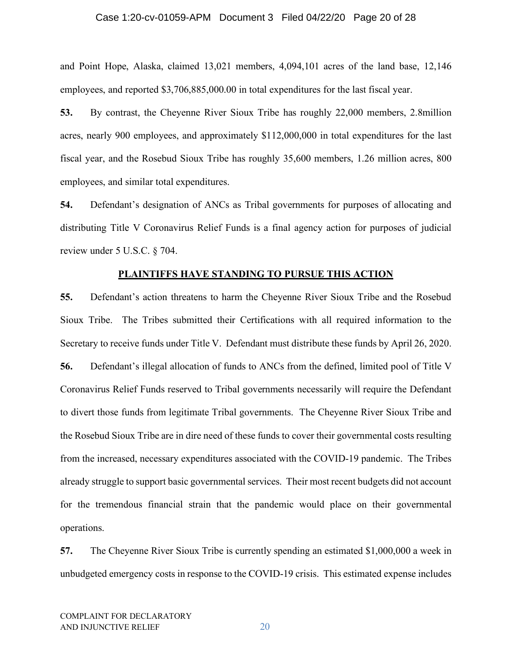#### Case 1:20-cv-01059-APM Document 3 Filed 04/22/20 Page 20 of 28

and Point Hope, Alaska, claimed 13,021 members, 4,094,101 acres of the land base, 12,146 employees, and reported \$3,706,885,000.00 in total expenditures for the last fiscal year.

**53.** By contrast, the Cheyenne River Sioux Tribe has roughly 22,000 members, 2.8million acres, nearly 900 employees, and approximately \$112,000,000 in total expenditures for the last fiscal year, and the Rosebud Sioux Tribe has roughly 35,600 members, 1.26 million acres, 800 employees, and similar total expenditures.

**54.** Defendant's designation of ANCs as Tribal governments for purposes of allocating and distributing Title V Coronavirus Relief Funds is a final agency action for purposes of judicial review under 5 U.S.C. § 704.

#### **PLAINTIFFS HAVE STANDING TO PURSUE THIS ACTION**

**55.** Defendant's action threatens to harm the Cheyenne River Sioux Tribe and the Rosebud Sioux Tribe. The Tribes submitted their Certifications with all required information to the Secretary to receive funds under Title V. Defendant must distribute these funds by April 26, 2020. **56.** Defendant's illegal allocation of funds to ANCs from the defined, limited pool of Title V Coronavirus Relief Funds reserved to Tribal governments necessarily will require the Defendant to divert those funds from legitimate Tribal governments. The Cheyenne River Sioux Tribe and the Rosebud Sioux Tribe are in dire need of these funds to cover their governmental costs resulting from the increased, necessary expenditures associated with the COVID-19 pandemic. The Tribes already struggle to support basic governmental services. Their most recent budgets did not account for the tremendous financial strain that the pandemic would place on their governmental operations.

**57.** The Cheyenne River Sioux Tribe is currently spending an estimated \$1,000,000 a week in unbudgeted emergency costs in response to the COVID-19 crisis. This estimated expense includes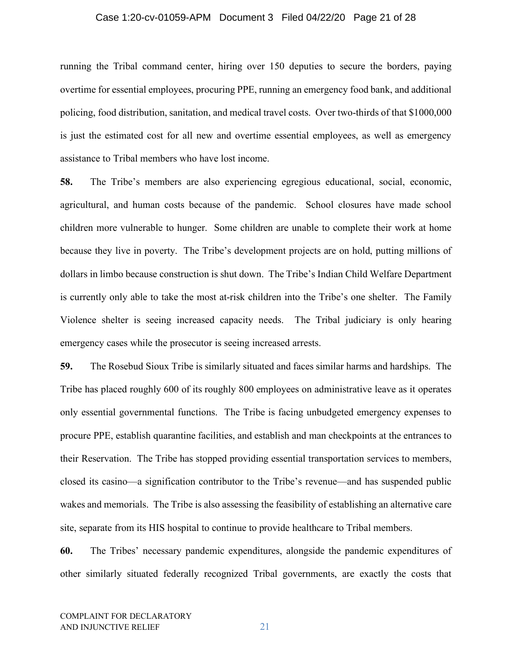#### Case 1:20-cv-01059-APM Document 3 Filed 04/22/20 Page 21 of 28

running the Tribal command center, hiring over 150 deputies to secure the borders, paying overtime for essential employees, procuring PPE, running an emergency food bank, and additional policing, food distribution, sanitation, and medical travel costs. Over two-thirds of that \$1000,000 is just the estimated cost for all new and overtime essential employees, as well as emergency assistance to Tribal members who have lost income.

**58.** The Tribe's members are also experiencing egregious educational, social, economic, agricultural, and human costs because of the pandemic. School closures have made school children more vulnerable to hunger. Some children are unable to complete their work at home because they live in poverty. The Tribe's development projects are on hold, putting millions of dollars in limbo because construction is shut down. The Tribe's Indian Child Welfare Department is currently only able to take the most at-risk children into the Tribe's one shelter. The Family Violence shelter is seeing increased capacity needs. The Tribal judiciary is only hearing emergency cases while the prosecutor is seeing increased arrests.

**59.** The Rosebud Sioux Tribe is similarly situated and faces similar harms and hardships. The Tribe has placed roughly 600 of its roughly 800 employees on administrative leave as it operates only essential governmental functions. The Tribe is facing unbudgeted emergency expenses to procure PPE, establish quarantine facilities, and establish and man checkpoints at the entrances to their Reservation. The Tribe has stopped providing essential transportation services to members, closed its casino—a signification contributor to the Tribe's revenue—and has suspended public wakes and memorials. The Tribe is also assessing the feasibility of establishing an alternative care site, separate from its HIS hospital to continue to provide healthcare to Tribal members.

**60.** The Tribes' necessary pandemic expenditures, alongside the pandemic expenditures of other similarly situated federally recognized Tribal governments, are exactly the costs that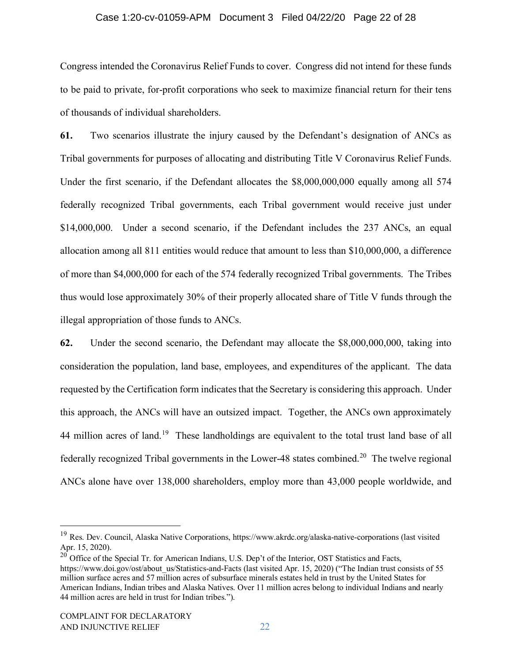#### Case 1:20-cv-01059-APM Document 3 Filed 04/22/20 Page 22 of 28

Congress intended the Coronavirus Relief Funds to cover. Congress did not intend for these funds to be paid to private, for-profit corporations who seek to maximize financial return for their tens of thousands of individual shareholders.

**61.** Two scenarios illustrate the injury caused by the Defendant's designation of ANCs as Tribal governments for purposes of allocating and distributing Title V Coronavirus Relief Funds. Under the first scenario, if the Defendant allocates the \$8,000,000,000 equally among all 574 federally recognized Tribal governments, each Tribal government would receive just under \$14,000,000. Under a second scenario, if the Defendant includes the 237 ANCs, an equal allocation among all 811 entities would reduce that amount to less than \$10,000,000, a difference of more than \$4,000,000 for each of the 574 federally recognized Tribal governments. The Tribes thus would lose approximately 30% of their properly allocated share of Title V funds through the illegal appropriation of those funds to ANCs.

**62.** Under the second scenario, the Defendant may allocate the \$8,000,000,000, taking into consideration the population, land base, employees, and expenditures of the applicant. The data requested by the Certification form indicates that the Secretary is considering this approach. Under this approach, the ANCs will have an outsized impact. Together, the ANCs own approximately 44 million acres of land.<sup>19</sup> These landholdings are equivalent to the total trust land base of all federally recognized Tribal governments in the Lower-48 states combined.<sup>[20](#page-21-1)</sup> The twelve regional ANCs alone have over 138,000 shareholders, employ more than 43,000 people worldwide, and

<span id="page-21-0"></span><sup>&</sup>lt;sup>19</sup> Res. Dev. Council, Alaska Native Corporations, https://www.akrdc.org/alaska-native-corporations (last visited Apr. 15, 2020).

<span id="page-21-1"></span><sup>&</sup>lt;sup>20</sup> Office of the Special Tr. for American Indians, U.S. Dep't of the Interior, OST Statistics and Facts, https://www.doi.gov/ost/about\_us/Statistics-and-Facts (last visited Apr. 15, 2020) ("The Indian trust consists of 55 million surface acres and 57 million acres of subsurface minerals estates held in trust by the United States for American Indians, Indian tribes and Alaska Natives. Over 11 million acres belong to individual Indians and nearly 44 million acres are held in trust for Indian tribes.").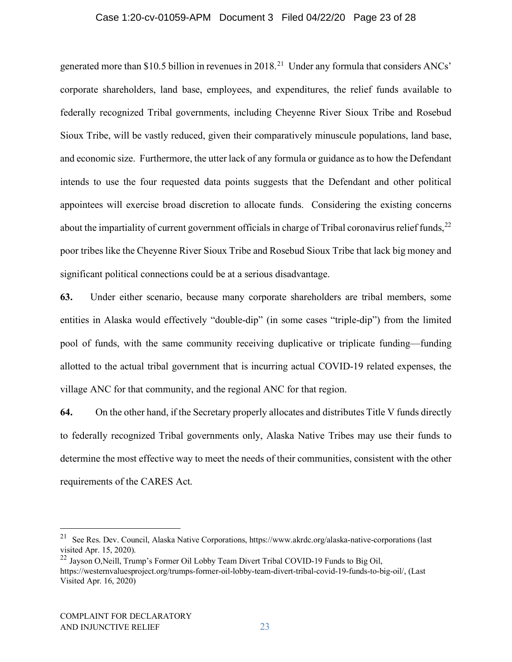#### Case 1:20-cv-01059-APM Document 3 Filed 04/22/20 Page 23 of 28

generated more than \$10.5 billion in revenues in 2018.[21](#page-22-0) Under any formula that considers ANCs' corporate shareholders, land base, employees, and expenditures, the relief funds available to federally recognized Tribal governments, including Cheyenne River Sioux Tribe and Rosebud Sioux Tribe, will be vastly reduced, given their comparatively minuscule populations, land base, and economic size. Furthermore, the utter lack of any formula or guidance as to how the Defendant intends to use the four requested data points suggests that the Defendant and other political appointees will exercise broad discretion to allocate funds. Considering the existing concerns about the impartiality of current government officials in charge of Tribal coronavirus relief funds,  $22$ poor tribes like the Cheyenne River Sioux Tribe and Rosebud Sioux Tribe that lack big money and significant political connections could be at a serious disadvantage.

**63.** Under either scenario, because many corporate shareholders are tribal members, some entities in Alaska would effectively "double-dip" (in some cases "triple-dip") from the limited pool of funds, with the same community receiving duplicative or triplicate funding—funding allotted to the actual tribal government that is incurring actual COVID-19 related expenses, the village ANC for that community, and the regional ANC for that region.

**64.** On the other hand, if the Secretary properly allocates and distributes Title V funds directly to federally recognized Tribal governments only, Alaska Native Tribes may use their funds to determine the most effective way to meet the needs of their communities, consistent with the other requirements of the CARES Act.

<span id="page-22-0"></span><sup>&</sup>lt;sup>21</sup> See Res. Dev. Council, Alaska Native Corporations, https://www.akrdc.org/alaska-native-corporations (last visited Apr. 15, 2020).

<span id="page-22-1"></span><sup>&</sup>lt;sup>22</sup> Jayson O,Neill, Trump's Former Oil Lobby Team Divert Tribal COVID-19 Funds to Big Oil, https://westernvaluesproject.org/trumps-former-oil-lobby-team-divert-tribal-covid-19-funds-to-big-oil/, (Last Visited Apr. 16, 2020)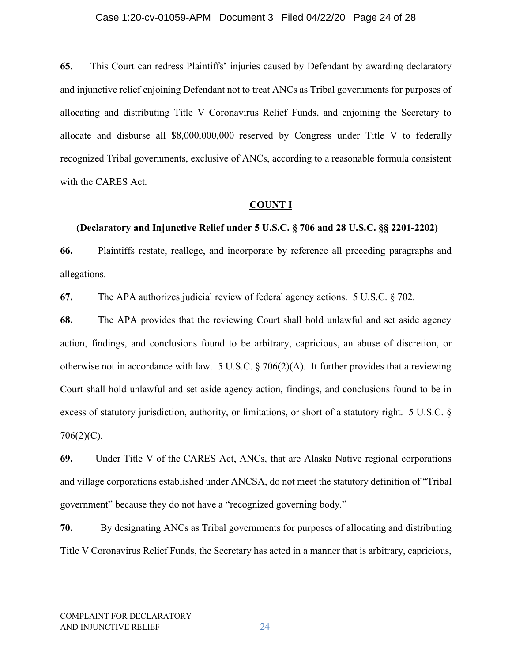#### Case 1:20-cv-01059-APM Document 3 Filed 04/22/20 Page 24 of 28

**65.** This Court can redress Plaintiffs' injuries caused by Defendant by awarding declaratory and injunctive relief enjoining Defendant not to treat ANCs as Tribal governments for purposes of allocating and distributing Title V Coronavirus Relief Funds, and enjoining the Secretary to allocate and disburse all \$8,000,000,000 reserved by Congress under Title V to federally recognized Tribal governments, exclusive of ANCs, according to a reasonable formula consistent with the CARES Act.

#### **COUNT I**

#### **(Declaratory and Injunctive Relief under 5 U.S.C. § 706 and 28 U.S.C. §§ 2201-2202)**

**66.** Plaintiffs restate, reallege, and incorporate by reference all preceding paragraphs and allegations.

**67.** The APA authorizes judicial review of federal agency actions. 5 U.S.C. § 702.

**68.** The APA provides that the reviewing Court shall hold unlawful and set aside agency action, findings, and conclusions found to be arbitrary, capricious, an abuse of discretion, or otherwise not in accordance with law. 5 U.S.C.  $\S 706(2)(A)$ . It further provides that a reviewing Court shall hold unlawful and set aside agency action, findings, and conclusions found to be in excess of statutory jurisdiction, authority, or limitations, or short of a statutory right. 5 U.S.C. § 706(2)(C).

**69.** Under Title V of the CARES Act, ANCs, that are Alaska Native regional corporations and village corporations established under ANCSA, do not meet the statutory definition of "Tribal government" because they do not have a "recognized governing body."

**70.** By designating ANCs as Tribal governments for purposes of allocating and distributing Title V Coronavirus Relief Funds, the Secretary has acted in a manner that is arbitrary, capricious,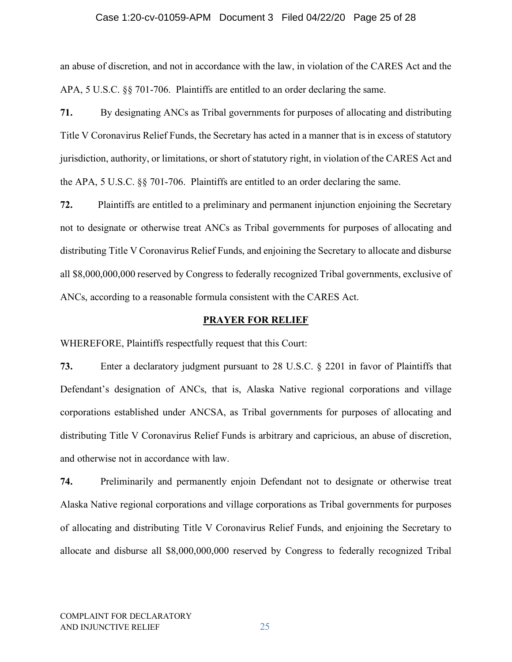#### Case 1:20-cv-01059-APM Document 3 Filed 04/22/20 Page 25 of 28

an abuse of discretion, and not in accordance with the law, in violation of the CARES Act and the APA, 5 U.S.C. §§ 701-706. Plaintiffs are entitled to an order declaring the same.

**71.** By designating ANCs as Tribal governments for purposes of allocating and distributing Title V Coronavirus Relief Funds, the Secretary has acted in a manner that is in excess of statutory jurisdiction, authority, or limitations, or short of statutory right, in violation of the CARES Act and the APA, 5 U.S.C. §§ 701-706. Plaintiffs are entitled to an order declaring the same.

**72.** Plaintiffs are entitled to a preliminary and permanent injunction enjoining the Secretary not to designate or otherwise treat ANCs as Tribal governments for purposes of allocating and distributing Title V Coronavirus Relief Funds, and enjoining the Secretary to allocate and disburse all \$8,000,000,000 reserved by Congress to federally recognized Tribal governments, exclusive of ANCs, according to a reasonable formula consistent with the CARES Act.

#### **PRAYER FOR RELIEF**

WHEREFORE, Plaintiffs respectfully request that this Court:

**73.** Enter a declaratory judgment pursuant to 28 U.S.C. § 2201 in favor of Plaintiffs that Defendant's designation of ANCs, that is, Alaska Native regional corporations and village corporations established under ANCSA, as Tribal governments for purposes of allocating and distributing Title V Coronavirus Relief Funds is arbitrary and capricious, an abuse of discretion, and otherwise not in accordance with law.

**74.** Preliminarily and permanently enjoin Defendant not to designate or otherwise treat Alaska Native regional corporations and village corporations as Tribal governments for purposes of allocating and distributing Title V Coronavirus Relief Funds, and enjoining the Secretary to allocate and disburse all \$8,000,000,000 reserved by Congress to federally recognized Tribal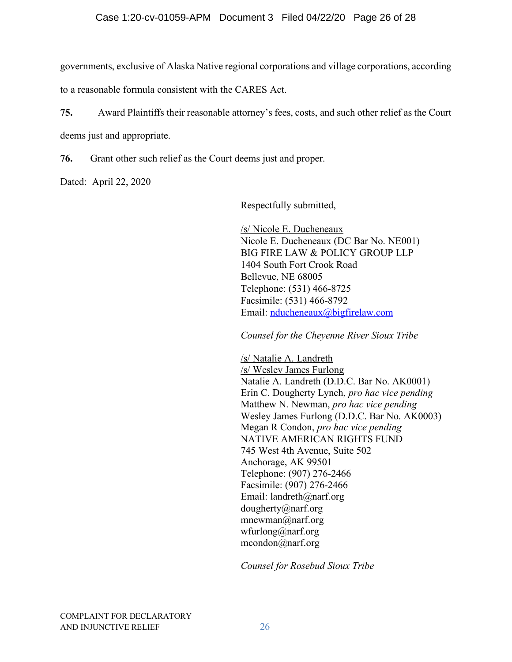## Case 1:20-cv-01059-APM Document 3 Filed 04/22/20 Page 26 of 28

governments, exclusive of Alaska Native regional corporations and village corporations, according

to a reasonable formula consistent with the CARES Act.

**75.** Award Plaintiffs their reasonable attorney's fees, costs, and such other relief as the Court deems just and appropriate.

**76.** Grant other such relief as the Court deems just and proper.

Dated: April 22, 2020

Respectfully submitted,

/s/ Nicole E. Ducheneaux Nicole E. Ducheneaux (DC Bar No. NE001) BIG FIRE LAW & POLICY GROUP LLP 1404 South Fort Crook Road Bellevue, NE 68005 Telephone: (531) 466-8725 Facsimile: (531) 466-8792 Email: [nducheneaux@bigfirelaw.com](mailto:nducheneaux@bigfirelaw.com)

*Counsel for the Cheyenne River Sioux Tribe*

/s/ Natalie A. Landreth /s/ Wesley James Furlong Natalie A. Landreth (D.D.C. Bar No. AK0001) Erin C. Dougherty Lynch, *pro hac vice pending* Matthew N. Newman, *pro hac vice pending* Wesley James Furlong (D.D.C. Bar No. AK0003) Megan R Condon, *pro hac vice pending* NATIVE AMERICAN RIGHTS FUND 745 West 4th Avenue, Suite 502 Anchorage, AK 99501 Telephone: (907) 276-2466 Facsimile: (907) 276-2466 Email: landreth@narf.org dougherty@narf.org mnewman@narf.org wfurlong@narf.org mcondon@narf.org

*Counsel for Rosebud Sioux Tribe*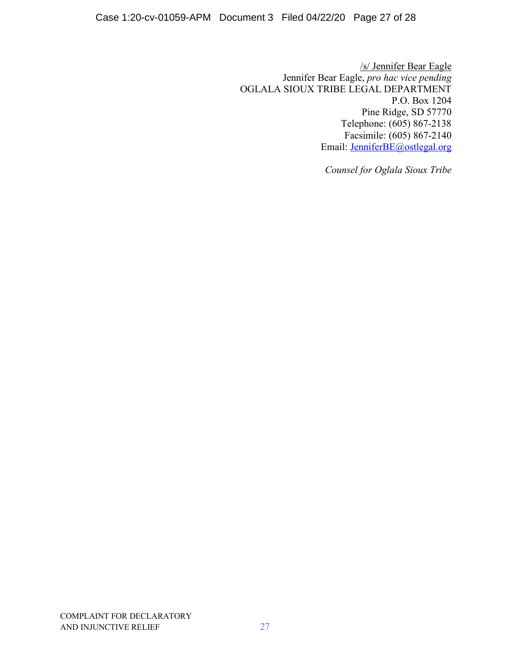/s/ Jennifer Bear Eagle Jennifer Bear Eagle, *pro hac vice pending* OGLALA SIOUX TRIBE LEGAL DEPARTMENT P.O. Box 1204 Pine Ridge, SD 57770 Telephone: (605) 867-2138 Facsimile: (605) 867-2140 Email: [JenniferBE@ostlegal.org](mailto:JenniferBE@ostlegal.org)

*Counsel for Oglala Sioux Tribe*